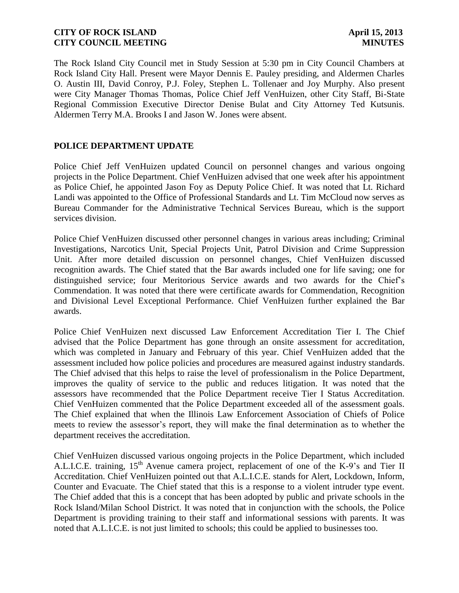The Rock Island City Council met in Study Session at 5:30 pm in City Council Chambers at Rock Island City Hall. Present were Mayor Dennis E. Pauley presiding, and Aldermen Charles O. Austin III, David Conroy, P.J. Foley, Stephen L. Tollenaer and Joy Murphy. Also present were City Manager Thomas Thomas, Police Chief Jeff VenHuizen, other City Staff, Bi-State Regional Commission Executive Director Denise Bulat and City Attorney Ted Kutsunis. Aldermen Terry M.A. Brooks I and Jason W. Jones were absent.

## **POLICE DEPARTMENT UPDATE**

Police Chief Jeff VenHuizen updated Council on personnel changes and various ongoing projects in the Police Department. Chief VenHuizen advised that one week after his appointment as Police Chief, he appointed Jason Foy as Deputy Police Chief. It was noted that Lt. Richard Landi was appointed to the Office of Professional Standards and Lt. Tim McCloud now serves as Bureau Commander for the Administrative Technical Services Bureau, which is the support services division.

Police Chief VenHuizen discussed other personnel changes in various areas including; Criminal Investigations, Narcotics Unit, Special Projects Unit, Patrol Division and Crime Suppression Unit. After more detailed discussion on personnel changes, Chief VenHuizen discussed recognition awards. The Chief stated that the Bar awards included one for life saving; one for distinguished service; four Meritorious Service awards and two awards for the Chief's Commendation. It was noted that there were certificate awards for Commendation, Recognition and Divisional Level Exceptional Performance. Chief VenHuizen further explained the Bar awards.

Police Chief VenHuizen next discussed Law Enforcement Accreditation Tier I. The Chief advised that the Police Department has gone through an onsite assessment for accreditation, which was completed in January and February of this year. Chief VenHuizen added that the assessment included how police policies and procedures are measured against industry standards. The Chief advised that this helps to raise the level of professionalism in the Police Department, improves the quality of service to the public and reduces litigation. It was noted that the assessors have recommended that the Police Department receive Tier I Status Accreditation. Chief VenHuizen commented that the Police Department exceeded all of the assessment goals. The Chief explained that when the Illinois Law Enforcement Association of Chiefs of Police meets to review the assessor's report, they will make the final determination as to whether the department receives the accreditation.

Chief VenHuizen discussed various ongoing projects in the Police Department, which included A.L.I.C.E. training, 15<sup>th</sup> Avenue camera project, replacement of one of the K-9's and Tier II Accreditation. Chief VenHuizen pointed out that A.L.I.C.E. stands for Alert, Lockdown, Inform, Counter and Evacuate. The Chief stated that this is a response to a violent intruder type event. The Chief added that this is a concept that has been adopted by public and private schools in the Rock Island/Milan School District. It was noted that in conjunction with the schools, the Police Department is providing training to their staff and informational sessions with parents. It was noted that A.L.I.C.E. is not just limited to schools; this could be applied to businesses too.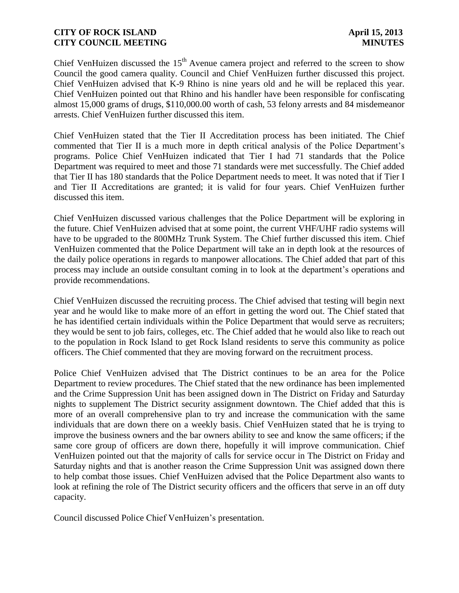Chief VenHuizen discussed the  $15<sup>th</sup>$  Avenue camera project and referred to the screen to show Council the good camera quality. Council and Chief VenHuizen further discussed this project. Chief VenHuizen advised that K-9 Rhino is nine years old and he will be replaced this year. Chief VenHuizen pointed out that Rhino and his handler have been responsible for confiscating almost 15,000 grams of drugs, \$110,000.00 worth of cash, 53 felony arrests and 84 misdemeanor arrests. Chief VenHuizen further discussed this item.

Chief VenHuizen stated that the Tier II Accreditation process has been initiated. The Chief commented that Tier II is a much more in depth critical analysis of the Police Department's programs. Police Chief VenHuizen indicated that Tier I had 71 standards that the Police Department was required to meet and those 71 standards were met successfully. The Chief added that Tier II has 180 standards that the Police Department needs to meet. It was noted that if Tier I and Tier II Accreditations are granted; it is valid for four years. Chief VenHuizen further discussed this item.

Chief VenHuizen discussed various challenges that the Police Department will be exploring in the future. Chief VenHuizen advised that at some point, the current VHF/UHF radio systems will have to be upgraded to the 800MHz Trunk System. The Chief further discussed this item. Chief VenHuizen commented that the Police Department will take an in depth look at the resources of the daily police operations in regards to manpower allocations. The Chief added that part of this process may include an outside consultant coming in to look at the department's operations and provide recommendations.

Chief VenHuizen discussed the recruiting process. The Chief advised that testing will begin next year and he would like to make more of an effort in getting the word out. The Chief stated that he has identified certain individuals within the Police Department that would serve as recruiters; they would be sent to job fairs, colleges, etc. The Chief added that he would also like to reach out to the population in Rock Island to get Rock Island residents to serve this community as police officers. The Chief commented that they are moving forward on the recruitment process.

Police Chief VenHuizen advised that The District continues to be an area for the Police Department to review procedures. The Chief stated that the new ordinance has been implemented and the Crime Suppression Unit has been assigned down in The District on Friday and Saturday nights to supplement The District security assignment downtown. The Chief added that this is more of an overall comprehensive plan to try and increase the communication with the same individuals that are down there on a weekly basis. Chief VenHuizen stated that he is trying to improve the business owners and the bar owners ability to see and know the same officers; if the same core group of officers are down there, hopefully it will improve communication. Chief VenHuizen pointed out that the majority of calls for service occur in The District on Friday and Saturday nights and that is another reason the Crime Suppression Unit was assigned down there to help combat those issues. Chief VenHuizen advised that the Police Department also wants to look at refining the role of The District security officers and the officers that serve in an off duty capacity.

Council discussed Police Chief VenHuizen's presentation.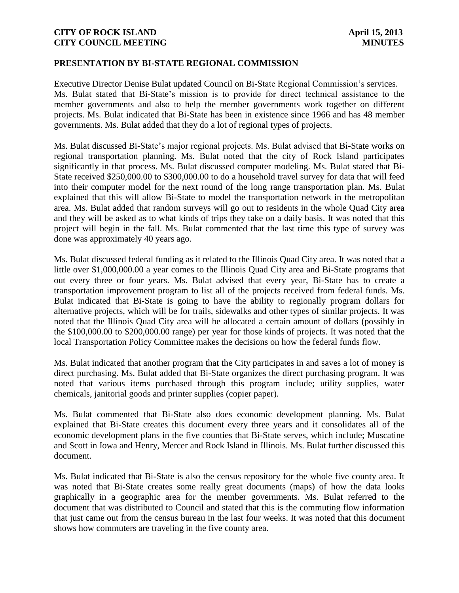### **PRESENTATION BY BI-STATE REGIONAL COMMISSION**

Executive Director Denise Bulat updated Council on Bi-State Regional Commission's services. Ms. Bulat stated that Bi-State's mission is to provide for direct technical assistance to the member governments and also to help the member governments work together on different projects. Ms. Bulat indicated that Bi-State has been in existence since 1966 and has 48 member governments. Ms. Bulat added that they do a lot of regional types of projects.

Ms. Bulat discussed Bi-State's major regional projects. Ms. Bulat advised that Bi-State works on regional transportation planning. Ms. Bulat noted that the city of Rock Island participates significantly in that process. Ms. Bulat discussed computer modeling. Ms. Bulat stated that Bi-State received \$250,000.00 to \$300,000.00 to do a household travel survey for data that will feed into their computer model for the next round of the long range transportation plan. Ms. Bulat explained that this will allow Bi-State to model the transportation network in the metropolitan area. Ms. Bulat added that random surveys will go out to residents in the whole Quad City area and they will be asked as to what kinds of trips they take on a daily basis. It was noted that this project will begin in the fall. Ms. Bulat commented that the last time this type of survey was done was approximately 40 years ago.

Ms. Bulat discussed federal funding as it related to the Illinois Quad City area. It was noted that a little over \$1,000,000.00 a year comes to the Illinois Quad City area and Bi-State programs that out every three or four years. Ms. Bulat advised that every year, Bi-State has to create a transportation improvement program to list all of the projects received from federal funds. Ms. Bulat indicated that Bi-State is going to have the ability to regionally program dollars for alternative projects, which will be for trails, sidewalks and other types of similar projects. It was noted that the Illinois Quad City area will be allocated a certain amount of dollars (possibly in the \$100,000.00 to \$200,000.00 range) per year for those kinds of projects. It was noted that the local Transportation Policy Committee makes the decisions on how the federal funds flow.

Ms. Bulat indicated that another program that the City participates in and saves a lot of money is direct purchasing. Ms. Bulat added that Bi-State organizes the direct purchasing program. It was noted that various items purchased through this program include; utility supplies, water chemicals, janitorial goods and printer supplies (copier paper).

Ms. Bulat commented that Bi-State also does economic development planning. Ms. Bulat explained that Bi-State creates this document every three years and it consolidates all of the economic development plans in the five counties that Bi-State serves, which include; Muscatine and Scott in Iowa and Henry, Mercer and Rock Island in Illinois. Ms. Bulat further discussed this document.

Ms. Bulat indicated that Bi-State is also the census repository for the whole five county area. It was noted that Bi-State creates some really great documents (maps) of how the data looks graphically in a geographic area for the member governments. Ms. Bulat referred to the document that was distributed to Council and stated that this is the commuting flow information that just came out from the census bureau in the last four weeks. It was noted that this document shows how commuters are traveling in the five county area.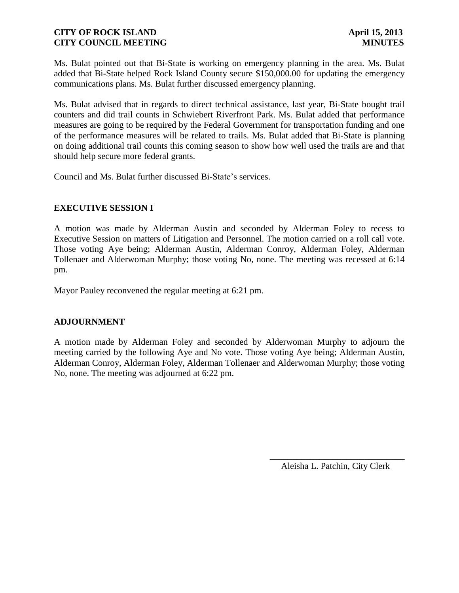Ms. Bulat pointed out that Bi-State is working on emergency planning in the area. Ms. Bulat added that Bi-State helped Rock Island County secure \$150,000.00 for updating the emergency communications plans. Ms. Bulat further discussed emergency planning.

Ms. Bulat advised that in regards to direct technical assistance, last year, Bi-State bought trail counters and did trail counts in Schwiebert Riverfront Park. Ms. Bulat added that performance measures are going to be required by the Federal Government for transportation funding and one of the performance measures will be related to trails. Ms. Bulat added that Bi-State is planning on doing additional trail counts this coming season to show how well used the trails are and that should help secure more federal grants.

Council and Ms. Bulat further discussed Bi-State's services.

## **EXECUTIVE SESSION I**

A motion was made by Alderman Austin and seconded by Alderman Foley to recess to Executive Session on matters of Litigation and Personnel. The motion carried on a roll call vote. Those voting Aye being; Alderman Austin, Alderman Conroy, Alderman Foley, Alderman Tollenaer and Alderwoman Murphy; those voting No, none. The meeting was recessed at 6:14 pm.

Mayor Pauley reconvened the regular meeting at 6:21 pm.

### **ADJOURNMENT**

A motion made by Alderman Foley and seconded by Alderwoman Murphy to adjourn the meeting carried by the following Aye and No vote. Those voting Aye being; Alderman Austin, Alderman Conroy, Alderman Foley, Alderman Tollenaer and Alderwoman Murphy; those voting No, none. The meeting was adjourned at 6:22 pm.

> \_\_\_\_\_\_\_\_\_\_\_\_\_\_\_\_\_\_\_\_\_\_\_\_\_\_\_\_\_\_ Aleisha L. Patchin, City Clerk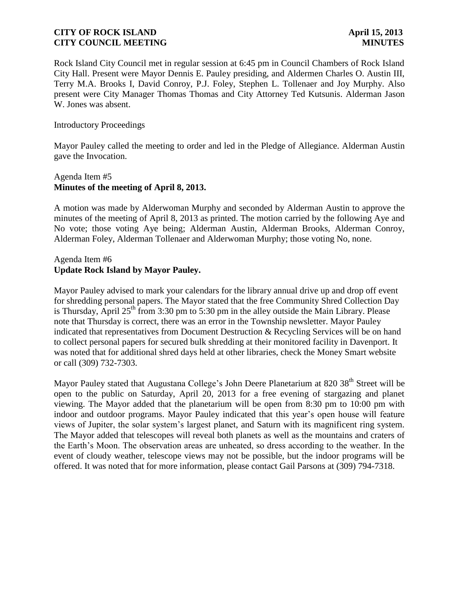Rock Island City Council met in regular session at 6:45 pm in Council Chambers of Rock Island City Hall. Present were Mayor Dennis E. Pauley presiding, and Aldermen Charles O. Austin III, Terry M.A. Brooks I, David Conroy, P.J. Foley, Stephen L. Tollenaer and Joy Murphy. Also present were City Manager Thomas Thomas and City Attorney Ted Kutsunis. Alderman Jason W. Jones was absent.

#### Introductory Proceedings

Mayor Pauley called the meeting to order and led in the Pledge of Allegiance. Alderman Austin gave the Invocation.

# Agenda Item #5 **Minutes of the meeting of April 8, 2013.**

A motion was made by Alderwoman Murphy and seconded by Alderman Austin to approve the minutes of the meeting of April 8, 2013 as printed. The motion carried by the following Aye and No vote; those voting Aye being; Alderman Austin, Alderman Brooks, Alderman Conroy, Alderman Foley, Alderman Tollenaer and Alderwoman Murphy; those voting No, none.

# Agenda Item #6 **Update Rock Island by Mayor Pauley.**

Mayor Pauley advised to mark your calendars for the library annual drive up and drop off event for shredding personal papers. The Mayor stated that the free Community Shred Collection Day is Thursday, April  $25<sup>th</sup>$  from 3:30 pm to 5:30 pm in the alley outside the Main Library. Please note that Thursday is correct, there was an error in the Township newsletter. Mayor Pauley indicated that representatives from Document Destruction & Recycling Services will be on hand to collect personal papers for secured bulk shredding at their monitored facility in Davenport. It was noted that for additional shred days held at other libraries, check the Money Smart website or call (309) 732-7303.

Mayor Pauley stated that Augustana College's John Deere Planetarium at  $820\,38^{th}$  Street will be open to the public on Saturday, April 20, 2013 for a free evening of stargazing and planet viewing. The Mayor added that the planetarium will be open from 8:30 pm to 10:00 pm with indoor and outdoor programs. Mayor Pauley indicated that this year's open house will feature views of Jupiter, the solar system's largest planet, and Saturn with its magnificent ring system. The Mayor added that telescopes will reveal both planets as well as the mountains and craters of the Earth's Moon. The observation areas are unheated, so dress according to the weather. In the event of cloudy weather, telescope views may not be possible, but the indoor programs will be offered. It was noted that for more information, please contact Gail Parsons at (309) 794-7318.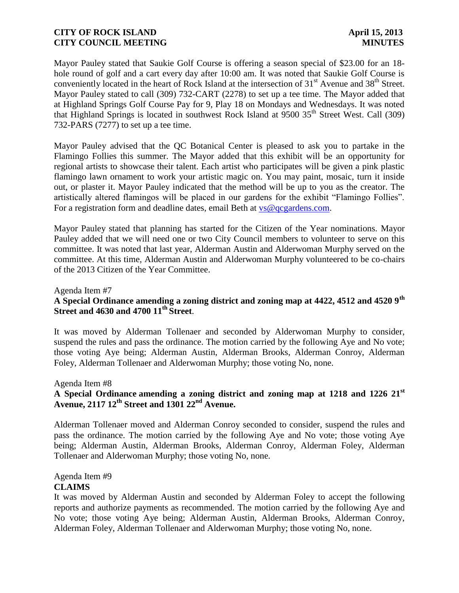Mayor Pauley stated that Saukie Golf Course is offering a season special of \$23.00 for an 18 hole round of golf and a cart every day after 10:00 am. It was noted that Saukie Golf Course is conveniently located in the heart of Rock Island at the intersection of 31<sup>st</sup> Avenue and 38<sup>th</sup> Street. Mayor Pauley stated to call (309) 732-CART (2278) to set up a tee time. The Mayor added that at Highland Springs Golf Course Pay for 9, Play 18 on Mondays and Wednesdays. It was noted that Highland Springs is located in southwest Rock Island at  $9500\,35<sup>th</sup>$  Street West. Call (309) 732-PARS (7277) to set up a tee time.

Mayor Pauley advised that the QC Botanical Center is pleased to ask you to partake in the Flamingo Follies this summer. The Mayor added that this exhibit will be an opportunity for regional artists to showcase their talent. Each artist who participates will be given a pink plastic flamingo lawn ornament to work your artistic magic on. You may paint, mosaic, turn it inside out, or plaster it. Mayor Pauley indicated that the method will be up to you as the creator. The artistically altered flamingos will be placed in our gardens for the exhibit "Flamingo Follies". For a registration form and deadline dates, email Beth at  $vs@qcgardens.com$ .

Mayor Pauley stated that planning has started for the Citizen of the Year nominations. Mayor Pauley added that we will need one or two City Council members to volunteer to serve on this committee. It was noted that last year, Alderman Austin and Alderwoman Murphy served on the committee. At this time, Alderman Austin and Alderwoman Murphy volunteered to be co-chairs of the 2013 Citizen of the Year Committee.

#### Agenda Item #7

# **A Special Ordinance amending a zoning district and zoning map at 4422, 4512 and 4520 9th Street and 4630 and 4700 11th Street**.

It was moved by Alderman Tollenaer and seconded by Alderwoman Murphy to consider, suspend the rules and pass the ordinance. The motion carried by the following Aye and No vote; those voting Aye being; Alderman Austin, Alderman Brooks, Alderman Conroy, Alderman Foley, Alderman Tollenaer and Alderwoman Murphy; those voting No, none.

#### Agenda Item #8

# **A Special Ordinance amending a zoning district and zoning map at 1218 and 1226 21st Avenue, 2117 12th Street and 1301 22nd Avenue.**

Alderman Tollenaer moved and Alderman Conroy seconded to consider, suspend the rules and pass the ordinance. The motion carried by the following Aye and No vote; those voting Aye being; Alderman Austin, Alderman Brooks, Alderman Conroy, Alderman Foley, Alderman Tollenaer and Alderwoman Murphy; those voting No, none.

### Agenda Item #9 **CLAIMS**

It was moved by Alderman Austin and seconded by Alderman Foley to accept the following reports and authorize payments as recommended. The motion carried by the following Aye and No vote; those voting Aye being; Alderman Austin, Alderman Brooks, Alderman Conroy, Alderman Foley, Alderman Tollenaer and Alderwoman Murphy; those voting No, none.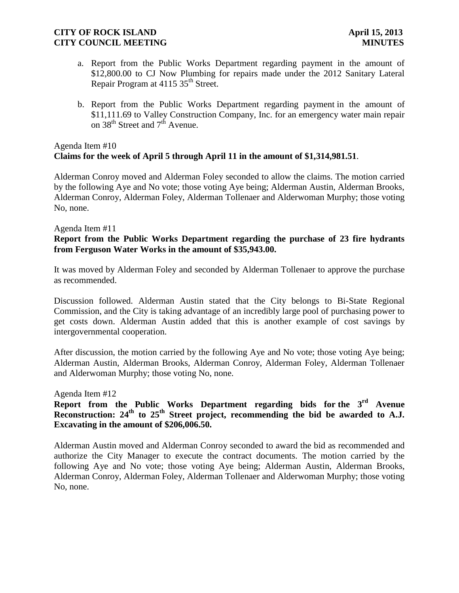- a. Report from the Public Works Department regarding payment in the amount of \$12,800.00 to CJ Now Plumbing for repairs made under the 2012 Sanitary Lateral Repair Program at 4115 35<sup>th</sup> Street.
- b. Report from the Public Works Department regarding payment in the amount of \$11,111.69 to Valley Construction Company, Inc. for an emergency water main repair on  $38^{th}$  Street and  $7^{th}$  Avenue.

### Agenda Item #10 **Claims for the week of April 5 through April 11 in the amount of \$1,314,981.51**.

 Alderman Conroy moved and Alderman Foley seconded to allow the claims. The motion carried by the following Aye and No vote; those voting Aye being; Alderman Austin, Alderman Brooks, Alderman Conroy, Alderman Foley, Alderman Tollenaer and Alderwoman Murphy; those voting No, none.

#### Agenda Item #11

### **Report from the Public Works Department regarding the purchase of 23 fire hydrants from Ferguson Water Works in the amount of \$35,943.00.**

It was moved by Alderman Foley and seconded by Alderman Tollenaer to approve the purchase as recommended.

Discussion followed. Alderman Austin stated that the City belongs to Bi-State Regional Commission, and the City is taking advantage of an incredibly large pool of purchasing power to get costs down. Alderman Austin added that this is another example of cost savings by intergovernmental cooperation.

After discussion, the motion carried by the following Aye and No vote; those voting Aye being; Alderman Austin, Alderman Brooks, Alderman Conroy, Alderman Foley, Alderman Tollenaer and Alderwoman Murphy; those voting No, none.

#### Agenda Item #12

**Report from the Public Works Department regarding bids for the 3rd Avenue**  Reconstruction: 24<sup>th</sup> to 25<sup>th</sup> Street project, recommending the bid be awarded to A.J. **Excavating in the amount of \$206,006.50.**

Alderman Austin moved and Alderman Conroy seconded to award the bid as recommended and authorize the City Manager to execute the contract documents. The motion carried by the following Aye and No vote; those voting Aye being; Alderman Austin, Alderman Brooks, Alderman Conroy, Alderman Foley, Alderman Tollenaer and Alderwoman Murphy; those voting No, none.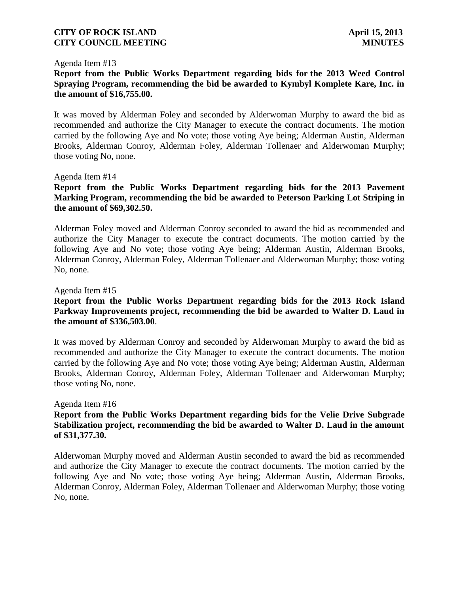#### Agenda Item #13

## **Report from the Public Works Department regarding bids for the 2013 Weed Control Spraying Program, recommending the bid be awarded to Kymbyl Komplete Kare, Inc. in the amount of \$16,755.00.**

It was moved by Alderman Foley and seconded by Alderwoman Murphy to award the bid as recommended and authorize the City Manager to execute the contract documents. The motion carried by the following Aye and No vote; those voting Aye being; Alderman Austin, Alderman Brooks, Alderman Conroy, Alderman Foley, Alderman Tollenaer and Alderwoman Murphy; those voting No, none.

#### Agenda Item #14

### **Report from the Public Works Department regarding bids for the 2013 Pavement Marking Program, recommending the bid be awarded to Peterson Parking Lot Striping in the amount of \$69,302.50.**

Alderman Foley moved and Alderman Conroy seconded to award the bid as recommended and authorize the City Manager to execute the contract documents. The motion carried by the following Aye and No vote; those voting Aye being; Alderman Austin, Alderman Brooks, Alderman Conroy, Alderman Foley, Alderman Tollenaer and Alderwoman Murphy; those voting No, none.

#### Agenda Item #15

## **Report from the Public Works Department regarding bids for the 2013 Rock Island Parkway Improvements project, recommending the bid be awarded to Walter D. Laud in the amount of \$336,503.00**.

It was moved by Alderman Conroy and seconded by Alderwoman Murphy to award the bid as recommended and authorize the City Manager to execute the contract documents. The motion carried by the following Aye and No vote; those voting Aye being; Alderman Austin, Alderman Brooks, Alderman Conroy, Alderman Foley, Alderman Tollenaer and Alderwoman Murphy; those voting No, none.

#### Agenda Item #16

## **Report from the Public Works Department regarding bids for the Velie Drive Subgrade Stabilization project, recommending the bid be awarded to Walter D. Laud in the amount of \$31,377.30.**

Alderwoman Murphy moved and Alderman Austin seconded to award the bid as recommended and authorize the City Manager to execute the contract documents. The motion carried by the following Aye and No vote; those voting Aye being; Alderman Austin, Alderman Brooks, Alderman Conroy, Alderman Foley, Alderman Tollenaer and Alderwoman Murphy; those voting No, none.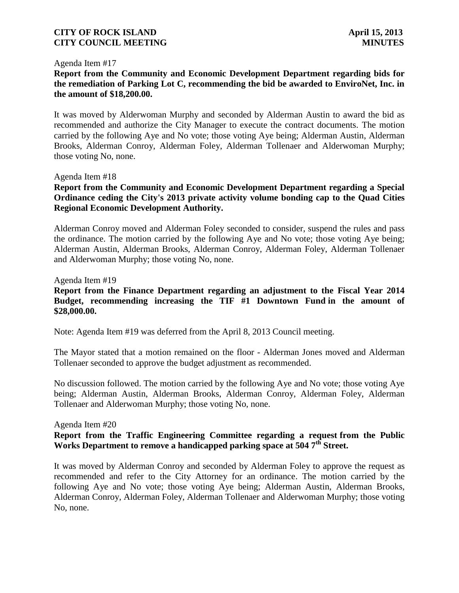#### Agenda Item #17

# **Report from the Community and Economic Development Department regarding bids for the remediation of Parking Lot C, recommending the bid be awarded to EnviroNet, Inc. in the amount of \$18,200.00.**

It was moved by Alderwoman Murphy and seconded by Alderman Austin to award the bid as recommended and authorize the City Manager to execute the contract documents. The motion carried by the following Aye and No vote; those voting Aye being; Alderman Austin, Alderman Brooks, Alderman Conroy, Alderman Foley, Alderman Tollenaer and Alderwoman Murphy; those voting No, none.

## Agenda Item #18

# **Report from the Community and Economic Development Department regarding a Special Ordinance ceding the City's 2013 private activity volume bonding cap to the Quad Cities Regional Economic Development Authority.**

Alderman Conroy moved and Alderman Foley seconded to consider, suspend the rules and pass the ordinance. The motion carried by the following Aye and No vote; those voting Aye being; Alderman Austin, Alderman Brooks, Alderman Conroy, Alderman Foley, Alderman Tollenaer and Alderwoman Murphy; those voting No, none.

#### Agenda Item #19

# **Report from the Finance Department regarding an adjustment to the Fiscal Year 2014 Budget, recommending increasing the TIF #1 Downtown Fund in the amount of \$28,000.00.**

Note: Agenda Item #19 was deferred from the April 8, 2013 Council meeting.

The Mayor stated that a motion remained on the floor - Alderman Jones moved and Alderman Tollenaer seconded to approve the budget adjustment as recommended.

No discussion followed. The motion carried by the following Aye and No vote; those voting Aye being; Alderman Austin, Alderman Brooks, Alderman Conroy, Alderman Foley, Alderman Tollenaer and Alderwoman Murphy; those voting No, none.

#### Agenda Item #20

## **Report from the Traffic Engineering Committee regarding a request from the Public Works Department to remove a handicapped parking space at 504 7th Street.**

It was moved by Alderman Conroy and seconded by Alderman Foley to approve the request as recommended and refer to the City Attorney for an ordinance. The motion carried by the following Aye and No vote; those voting Aye being; Alderman Austin, Alderman Brooks, Alderman Conroy, Alderman Foley, Alderman Tollenaer and Alderwoman Murphy; those voting No, none.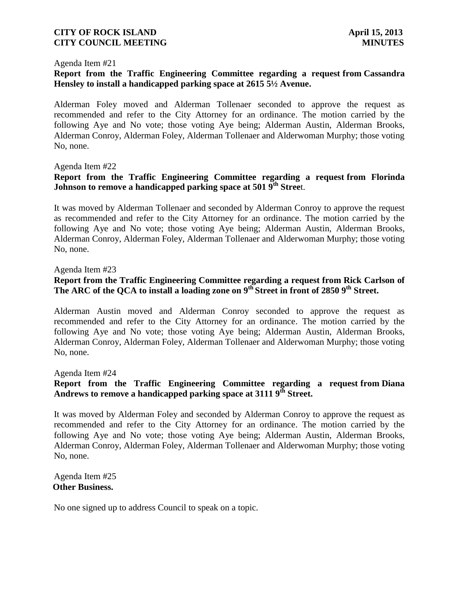#### Agenda Item #21

# **Report from the Traffic Engineering Committee regarding a request from Cassandra Hensley to install a handicapped parking space at 2615 5½ Avenue.**

Alderman Foley moved and Alderman Tollenaer seconded to approve the request as recommended and refer to the City Attorney for an ordinance. The motion carried by the following Aye and No vote; those voting Aye being; Alderman Austin, Alderman Brooks, Alderman Conroy, Alderman Foley, Alderman Tollenaer and Alderwoman Murphy; those voting No, none.

#### Agenda Item #22

## **Report from the Traffic Engineering Committee regarding a request from Florinda Johnson to remove a handicapped parking space at 501 9th Stree**t.

It was moved by Alderman Tollenaer and seconded by Alderman Conroy to approve the request as recommended and refer to the City Attorney for an ordinance. The motion carried by the following Aye and No vote; those voting Aye being; Alderman Austin, Alderman Brooks, Alderman Conroy, Alderman Foley, Alderman Tollenaer and Alderwoman Murphy; those voting No, none.

#### Agenda Item #23

# **Report from the Traffic Engineering Committee regarding a request from Rick Carlson of The ARC of the QCA to install a loading zone on 9th Street in front of 2850 9th Street.**

Alderman Austin moved and Alderman Conroy seconded to approve the request as recommended and refer to the City Attorney for an ordinance. The motion carried by the following Aye and No vote; those voting Aye being; Alderman Austin, Alderman Brooks, Alderman Conroy, Alderman Foley, Alderman Tollenaer and Alderwoman Murphy; those voting No, none.

Agenda Item #24

# **Report from the Traffic Engineering Committee regarding a request from Diana Andrews to remove a handicapped parking space at 3111 9th Street.**

It was moved by Alderman Foley and seconded by Alderman Conroy to approve the request as recommended and refer to the City Attorney for an ordinance. The motion carried by the following Aye and No vote; those voting Aye being; Alderman Austin, Alderman Brooks, Alderman Conroy, Alderman Foley, Alderman Tollenaer and Alderwoman Murphy; those voting No, none.

Agenda Item #25 **Other Business.**

No one signed up to address Council to speak on a topic.